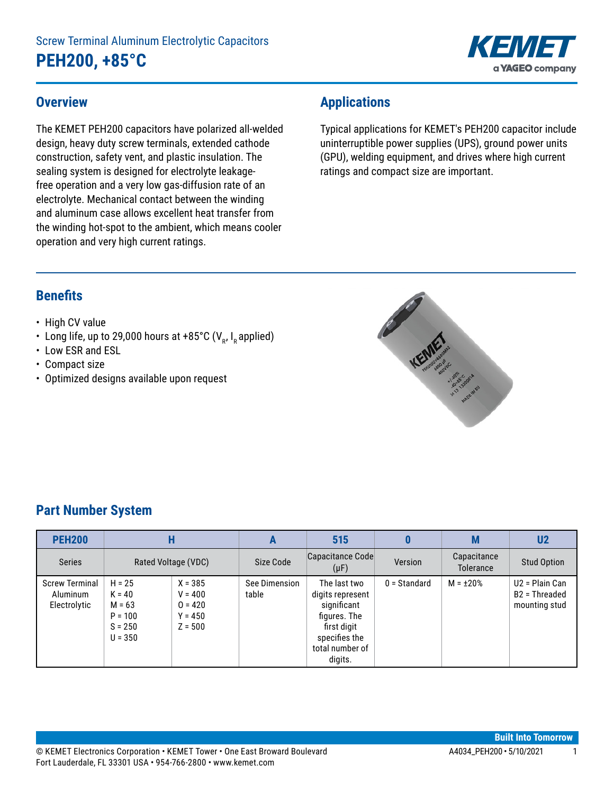

### **Overview**

The KEMET PEH200 capacitors have polarized all-welded design, heavy duty screw terminals, extended cathode construction, safety vent, and plastic insulation. The sealing system is designed for electrolyte leakagefree operation and a very low gas-diffusion rate of an electrolyte. Mechanical contact between the winding and aluminum case allows excellent heat transfer from the winding hot-spot to the ambient, which means cooler operation and very high current ratings.

# **Applications**

Typical applications for KEMET's PEH200 capacitor include uninterruptible power supplies (UPS), ground power units (GPU), welding equipment, and drives where high current ratings and compact size are important.

### **Benefits**

- High CV value
- Long life, up to 29,000 hours at +85°C ( $V_R$ , I<sub>R</sub> applied)
- Low ESR and ESL
- Compact size
- Optimized designs available upon request



# **Part Number System**

| <b>PEH200</b>                                     | H                                                                       |                                                               | A                      | 515                                                                                                                           |                | M                             | U <sub>2</sub>                                                 |                                 |                    |
|---------------------------------------------------|-------------------------------------------------------------------------|---------------------------------------------------------------|------------------------|-------------------------------------------------------------------------------------------------------------------------------|----------------|-------------------------------|----------------------------------------------------------------|---------------------------------|--------------------|
| <b>Series</b>                                     | Rated Voltage (VDC)                                                     |                                                               |                        |                                                                                                                               | Size Code      | Capacitance Code<br>$(\mu F)$ | Version                                                        | Capacitance<br><b>Tolerance</b> | <b>Stud Option</b> |
| <b>Screw Terminal</b><br>Aluminum<br>Electrolytic | $H = 25$<br>$K = 40$<br>$M = 63$<br>$P = 100$<br>$S = 250$<br>$U = 350$ | $X = 385$<br>$V = 400$<br>$0 = 420$<br>$Y = 450$<br>$Z = 500$ | See Dimension<br>table | The last two<br>digits represent<br>significant<br>figures. The<br>first digit<br>specifies the<br>total number of<br>digits. | $0 =$ Standard | $M = \pm 20\%$                | $U2 =$ Plain Can<br>B <sub>2</sub> = Threaded<br>mounting stud |                                 |                    |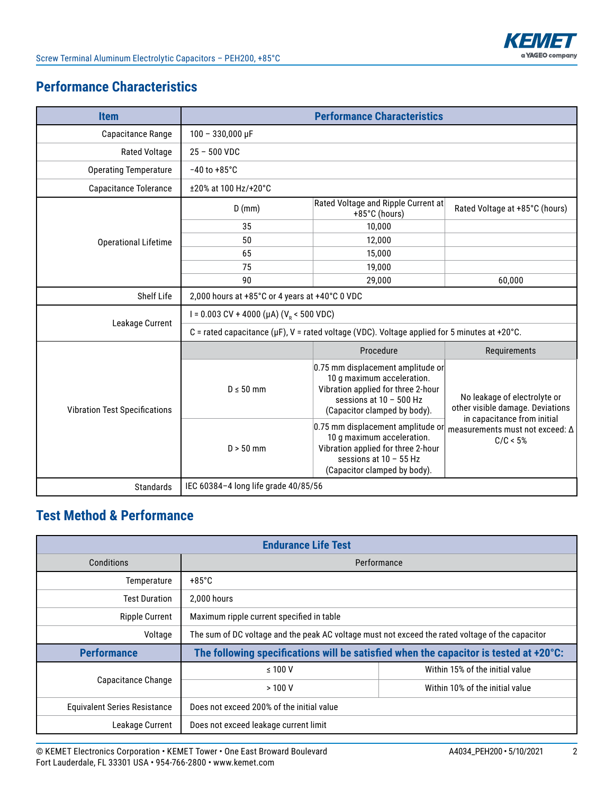

# **Performance Characteristics**

| <b>Item</b>                          |                                                                                                    | <b>Performance Characteristics</b>                                                                                                                                 |                                                                                                 |  |  |  |  |
|--------------------------------------|----------------------------------------------------------------------------------------------------|--------------------------------------------------------------------------------------------------------------------------------------------------------------------|-------------------------------------------------------------------------------------------------|--|--|--|--|
| Capacitance Range                    | $100 - 330,000 \,\mu F$                                                                            |                                                                                                                                                                    |                                                                                                 |  |  |  |  |
| <b>Rated Voltage</b>                 | $25 - 500$ VDC                                                                                     |                                                                                                                                                                    |                                                                                                 |  |  |  |  |
| <b>Operating Temperature</b>         | $-40$ to $+85^{\circ}$ C                                                                           |                                                                                                                                                                    |                                                                                                 |  |  |  |  |
| <b>Capacitance Tolerance</b>         | ±20% at 100 Hz/+20°C                                                                               |                                                                                                                                                                    |                                                                                                 |  |  |  |  |
|                                      | $D$ (mm)                                                                                           | Rated Voltage and Ripple Current at<br>$+85^{\circ}$ C (hours)                                                                                                     | Rated Voltage at +85°C (hours)                                                                  |  |  |  |  |
|                                      | 35                                                                                                 | 10,000                                                                                                                                                             |                                                                                                 |  |  |  |  |
| <b>Operational Lifetime</b>          | 50                                                                                                 | 12,000                                                                                                                                                             |                                                                                                 |  |  |  |  |
|                                      | 65                                                                                                 | 15,000                                                                                                                                                             |                                                                                                 |  |  |  |  |
|                                      | 75                                                                                                 | 19,000                                                                                                                                                             |                                                                                                 |  |  |  |  |
|                                      | 90                                                                                                 | 29,000                                                                                                                                                             | 60,000                                                                                          |  |  |  |  |
| Shelf Life                           | 2,000 hours at +85°C or 4 years at +40°C 0 VDC                                                     |                                                                                                                                                                    |                                                                                                 |  |  |  |  |
|                                      | I = 0.003 CV + 4000 (µA) ( $V_p$ < 500 VDC)                                                        |                                                                                                                                                                    |                                                                                                 |  |  |  |  |
| Leakage Current                      | C = rated capacitance ( $\mu$ F), V = rated voltage (VDC). Voltage applied for 5 minutes at +20°C. |                                                                                                                                                                    |                                                                                                 |  |  |  |  |
|                                      |                                                                                                    | Procedure                                                                                                                                                          | Requirements                                                                                    |  |  |  |  |
| <b>Vibration Test Specifications</b> | $D \leq 50$ mm                                                                                     | 0.75 mm displacement amplitude or<br>10 g maximum acceleration.<br>Vibration applied for three 2-hour<br>sessions at $10 - 500$ Hz<br>(Capacitor clamped by body). | No leakage of electrolyte or<br>other visible damage. Deviations<br>in capacitance from initial |  |  |  |  |
|                                      | $D > 50$ mm                                                                                        | 0.75 mm displacement amplitude or<br>10 g maximum acceleration.<br>Vibration applied for three 2-hour<br>sessions at $10 - 55$ Hz<br>(Capacitor clamped by body).  |                                                                                                 |  |  |  |  |
| <b>Standards</b>                     | IEC 60384-4 long life grade 40/85/56                                                               |                                                                                                                                                                    |                                                                                                 |  |  |  |  |

# **Test Method & Performance**

| <b>Endurance Life Test</b>          |                                                                                                  |                                 |  |  |  |  |
|-------------------------------------|--------------------------------------------------------------------------------------------------|---------------------------------|--|--|--|--|
| Conditions                          |                                                                                                  | Performance                     |  |  |  |  |
| Temperature                         | $+85^{\circ}$ C                                                                                  |                                 |  |  |  |  |
| <b>Test Duration</b>                | 2.000 hours                                                                                      |                                 |  |  |  |  |
| <b>Ripple Current</b>               | Maximum ripple current specified in table                                                        |                                 |  |  |  |  |
| Voltage                             | The sum of DC voltage and the peak AC voltage must not exceed the rated voltage of the capacitor |                                 |  |  |  |  |
| <b>Performance</b>                  | The following specifications will be satisfied when the capacitor is tested at +20°C:            |                                 |  |  |  |  |
|                                     | $\leq 100$ V                                                                                     | Within 15% of the initial value |  |  |  |  |
| Capacitance Change                  | >100V                                                                                            | Within 10% of the initial value |  |  |  |  |
| <b>Equivalent Series Resistance</b> | Does not exceed 200% of the initial value                                                        |                                 |  |  |  |  |
| Leakage Current                     | Does not exceed leakage current limit                                                            |                                 |  |  |  |  |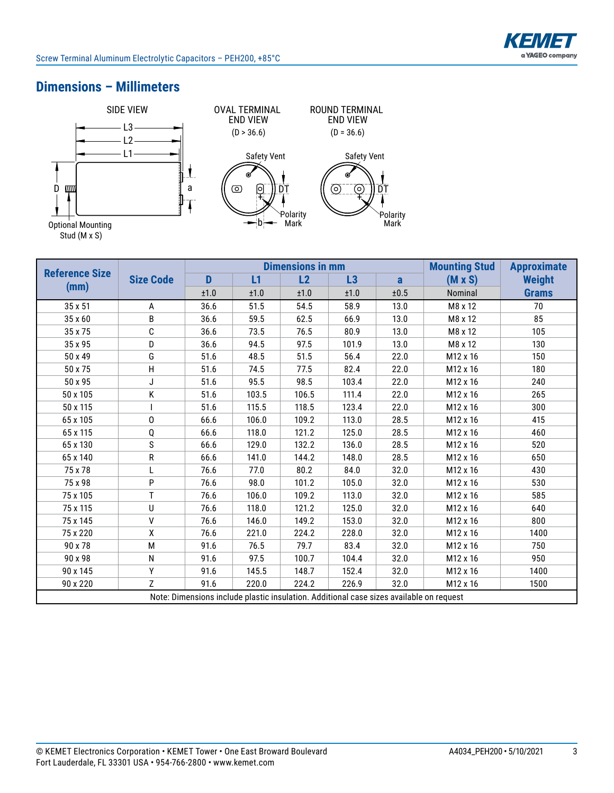# **Dimensions – Millimeters**



|                       |                  |      |       | <b>Dimensions in mm</b> | <b>Mounting Stud</b>                                                                    | <b>Approximate</b> |                      |               |
|-----------------------|------------------|------|-------|-------------------------|-----------------------------------------------------------------------------------------|--------------------|----------------------|---------------|
| <b>Reference Size</b> | <b>Size Code</b> | D    | L1    | L2                      | L3                                                                                      | a                  | $(M \times S)$       | <b>Weight</b> |
| (mm)                  |                  | ±1.0 | ±1.0  | ±1.0                    | ±1.0                                                                                    | ±0.5               | Nominal              | <b>Grams</b>  |
| 35 x 51               | A                | 36.6 | 51.5  | 54.5                    | 58.9                                                                                    | 13.0               | M8 x 12              | 70            |
| 35 x 60               | B                | 36.6 | 59.5  | 62.5                    | 66.9                                                                                    | 13.0               | M8 x 12              | 85            |
| 35 x 75               | C                | 36.6 | 73.5  | 76.5                    | 80.9                                                                                    | 13.0               | M8 x 12              | 105           |
| 35 x 95               | D                | 36.6 | 94.5  | 97.5                    | 101.9                                                                                   | 13.0               | M8 x 12              | 130           |
| 50 x 49               | G                | 51.6 | 48.5  | 51.5                    | 56.4                                                                                    | 22.0               | M12 x 16             | 150           |
| 50 x 75               | H                | 51.6 | 74.5  | 77.5                    | 82.4                                                                                    | 22.0               | M <sub>12</sub> x 16 | 180           |
| 50 x 95               | J                | 51.6 | 95.5  | 98.5                    | 103.4                                                                                   | 22.0               | M12 x 16             | 240           |
| 50 x 105              | Κ                | 51.6 | 103.5 | 106.5                   | 111.4                                                                                   | 22.0               | M12 x 16             | 265           |
| 50 x 115              |                  | 51.6 | 115.5 | 118.5                   | 123.4                                                                                   | 22.0               | M12 x 16             | 300           |
| 65 x 105              | 0                | 66.6 | 106.0 | 109.2                   | 113.0                                                                                   | 28.5               | M12 x 16             | 415           |
| 65 x 115              | Q                | 66.6 | 118.0 | 121.2                   | 125.0                                                                                   | 28.5               | M12 x 16             | 460           |
| 65 x 130              | S                | 66.6 | 129.0 | 132.2                   | 136.0                                                                                   | 28.5               | M12 x 16             | 520           |
| 65 x 140              | R                | 66.6 | 141.0 | 144.2                   | 148.0                                                                                   | 28.5               | M12 x 16             | 650           |
| 75 x 78               | L                | 76.6 | 77.0  | 80.2                    | 84.0                                                                                    | 32.0               | M <sub>12</sub> x 16 | 430           |
| 75 x 98               | P                | 76.6 | 98.0  | 101.2                   | 105.0                                                                                   | 32.0               | M12 x 16             | 530           |
| 75 x 105              | T.               | 76.6 | 106.0 | 109.2                   | 113.0                                                                                   | 32.0               | M12 x 16             | 585           |
| 75 x 115              | U                | 76.6 | 118.0 | 121.2                   | 125.0                                                                                   | 32.0               | M <sub>12</sub> x 16 | 640           |
| 75 x 145              | $\sf V$          | 76.6 | 146.0 | 149.2                   | 153.0                                                                                   | 32.0               | M12 x 16             | 800           |
| 75 x 220              | χ                | 76.6 | 221.0 | 224.2                   | 228.0                                                                                   | 32.0               | M12 x 16             | 1400          |
| 90 x 78               | M                | 91.6 | 76.5  | 79.7                    | 83.4                                                                                    | 32.0               | M12 x 16             | 750           |
| 90 x 98               | N                | 91.6 | 97.5  | 100.7                   | 104.4                                                                                   | 32.0               | M12 x 16             | 950           |
| 90 x 145              | Υ                | 91.6 | 145.5 | 148.7                   | 152.4                                                                                   | 32.0               | M12 x 16             | 1400          |
| 90 x 220              | $\overline{7}$   | 91.6 | 220.0 | 224.2                   | 226.9                                                                                   | 32.0               | M12 x 16             | 1500          |
|                       |                  |      |       |                         | Note: Dimensions include plastic insulation. Additional case sizes available on request |                    |                      |               |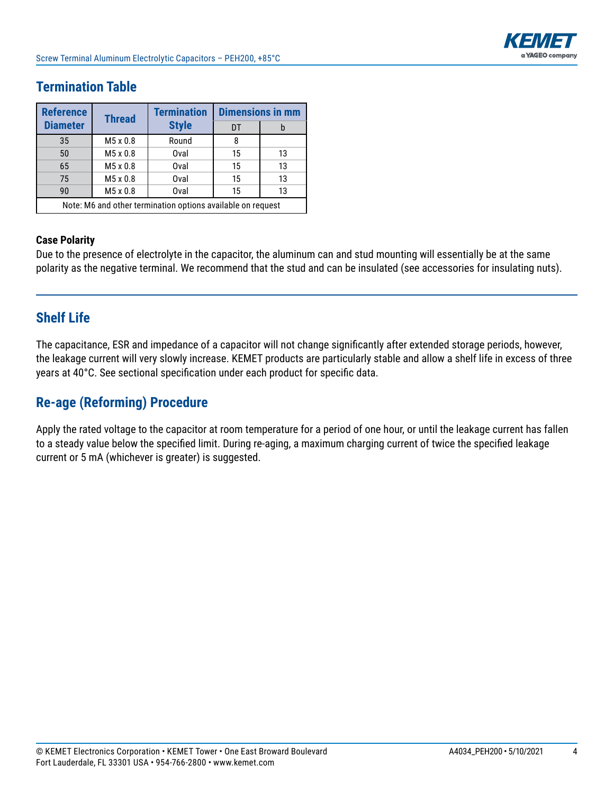

# **Termination Table**

| <b>Reference</b>                                            | <b>Thread</b> | <b>Termination</b> | <b>Dimensions in mm</b> |    |  |  |  |
|-------------------------------------------------------------|---------------|--------------------|-------------------------|----|--|--|--|
| <b>Diameter</b>                                             |               | <b>Style</b>       | DT                      | b  |  |  |  |
| 35                                                          | M5 x 0.8      | Round              | 8                       |    |  |  |  |
| 50                                                          | M5 x 0.8      | Oval               | 15                      | 13 |  |  |  |
| 65                                                          | M5 x 0.8      | Oval               | 15                      | 13 |  |  |  |
| 75                                                          | M5 x 0.8      | Oval               | 15                      | 13 |  |  |  |
| 90                                                          | M5 x 0.8      | Oval               | 15                      | 13 |  |  |  |
| Note: M6 and other termination options available on request |               |                    |                         |    |  |  |  |

### **Case Polarity**

Due to the presence of electrolyte in the capacitor, the aluminum can and stud mounting will essentially be at the same polarity as the negative terminal. We recommend that the stud and can be insulated (see accessories for insulating nuts).

### **Shelf Life**

The capacitance, ESR and impedance of a capacitor will not change significantly after extended storage periods, however, the leakage current will very slowly increase. KEMET products are particularly stable and allow a shelf life in excess of three years at 40°C. See sectional specification under each product for specific data.

### **Re-age (Reforming) Procedure**

Apply the rated voltage to the capacitor at room temperature for a period of one hour, or until the leakage current has fallen to a steady value below the specified limit. During re-aging, a maximum charging current of twice the specified leakage current or 5 mA (whichever is greater) is suggested.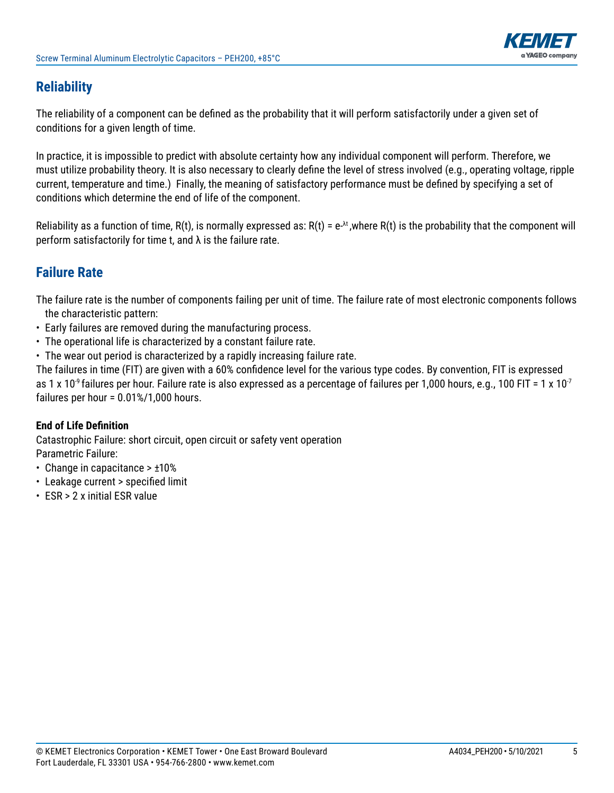

# **Reliability**

The reliability of a component can be defined as the probability that it will perform satisfactorily under a given set of conditions for a given length of time.

In practice, it is impossible to predict with absolute certainty how any individual component will perform. Therefore, we must utilize probability theory. It is also necessary to clearly define the level of stress involved (e.g., operating voltage, ripple current, temperature and time.) Finally, the meaning of satisfactory performance must be defined by specifying a set of conditions which determine the end of life of the component.

Reliability as a function of time,  $R(t)$ , is normally expressed as:  $R(t) = e^{\lambda t}$ , where  $R(t)$  is the probability that the component will perform satisfactorily for time t, and  $\lambda$  is the failure rate.

# **Failure Rate**

The failure rate is the number of components failing per unit of time. The failure rate of most electronic components follows the characteristic pattern:

- Early failures are removed during the manufacturing process.
- The operational life is characterized by a constant failure rate.
- The wear out period is characterized by a rapidly increasing failure rate.

The failures in time (FIT) are given with a 60% confidence level for the various type codes. By convention, FIT is expressed as 1 x 10<sup>-9</sup> failures per hour. Failure rate is also expressed as a percentage of failures per 1,000 hours, e.g., 100 FIT = 1 x 10<sup>-7</sup> failures per hour = 0.01%/1,000 hours.

### **End of Life Definition**

Catastrophic Failure: short circuit, open circuit or safety vent operation Parametric Failure:

- Change in capacitance > ±10%
- Leakage current > specified limit
- ESR > 2 x initial ESR value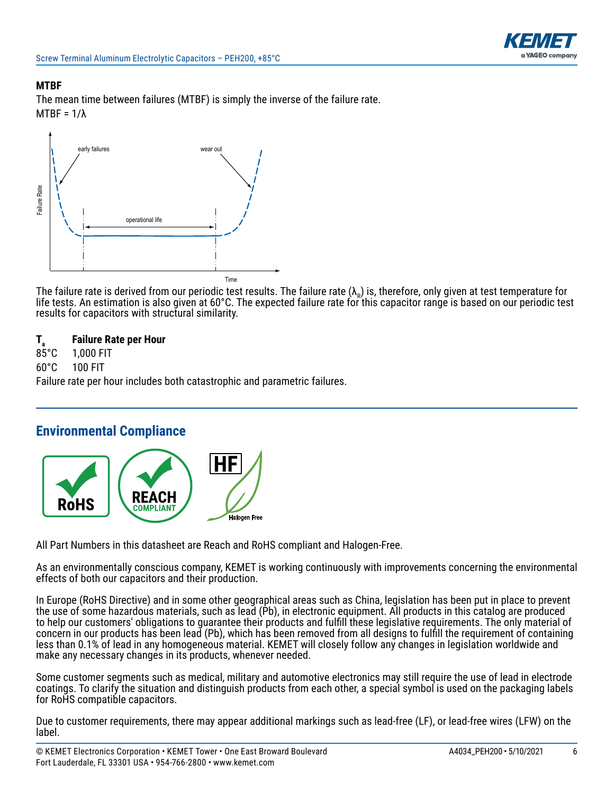

#### **MTBF**

The mean time between failures (MTBF) is simply the inverse of the failure rate. MTBF = 1/λ



The failure rate is derived from our periodic test results. The failure rate  $(\lambda_R)$  is, therefore, only given at test temperature for life tests. An estimation is also given at 60°C. The expected failure rate for this capacitor range is based on our periodic test results for capacitors with structural similarity.

# **T<sub>a</sub> Failure Rate per Hour**<br>85°C **1,000 FIT**

85°C 1,000 FIT

60°C 100 FIT

Failure rate per hour includes both catastrophic and parametric failures.

### **Environmental Compliance**



All Part Numbers in this datasheet are Reach and RoHS compliant and Halogen-Free.

As an environmentally conscious company, KEMET is working continuously with improvements concerning the environmental effects of both our capacitors and their production.

In Europe (RoHS Directive) and in some other geographical areas such as China, legislation has been put in place to prevent the use of some hazardous materials, such as lead (Pb), in electronic equipment. All products in this catalog are produced to help our customers' obligations to guarantee their products and fulfill these legislative requirements. The only material of concern in our products has been lead (Pb), which has been removed from all designs to fulfill the requirement of containing less than 0.1% of lead in any homogeneous material. KEMET will closely follow any changes in legislation worldwide and make any necessary changes in its products, whenever needed.

Some customer segments such as medical, military and automotive electronics may still require the use of lead in electrode coatings. To clarify the situation and distinguish products from each other, a special symbol is used on the packaging labels for RoHS compatible capacitors.

Due to customer requirements, there may appear additional markings such as lead-free (LF), or lead-free wires (LFW) on the label.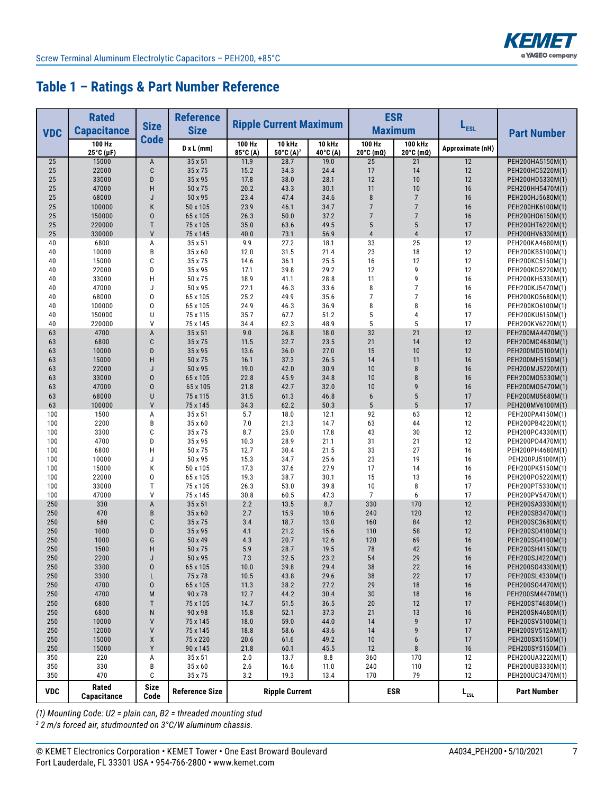

# **Table 1 – Ratings & Part Number Reference**

|            | <b>Rated</b><br><b>Reference</b><br><b>Size</b> |                     |                       | <b>ESR</b><br><b>Ripple Current Maximum</b><br><b>Maximum</b> |                                                  |                           | $L_{est}$            |                                         |                  |                                      |
|------------|-------------------------------------------------|---------------------|-----------------------|---------------------------------------------------------------|--------------------------------------------------|---------------------------|----------------------|-----------------------------------------|------------------|--------------------------------------|
| <b>VDC</b> | <b>Capacitance</b>                              | <b>Code</b>         | <b>Size</b>           |                                                               |                                                  |                           |                      |                                         |                  | <b>Part Number</b>                   |
|            | 100 Hz<br>25°C (µF)                             |                     | $D \times L$ (mm)     | 100 Hz<br>85°C (A)                                            | <b>10 kHz</b><br>$50^{\circ}$ C (A) <sup>2</sup> | <b>10 kHz</b><br>40°C (A) | 100 Hz<br>20°C (mΩ)  | 100 kHz<br>$20^{\circ}$ C (m $\Omega$ ) | Approximate (nH) |                                      |
| 25         | 15000                                           | A                   | 35 x 51               | 11.9                                                          | 28.7                                             | 19.0                      | 25                   | 21                                      | 12               | PEH200HA5150M(1)                     |
| 25<br>25   | 22000<br>33000                                  | C<br>D              | 35 x 75<br>35 x 95    | 15.2<br>17.8                                                  | 34.3<br>38.0                                     | 24.4<br>28.1              | 17<br>12             | 14<br>10                                | 12<br>12         | PEH200HC5220M(1)<br>PEH200HD5330M(1) |
| 25         | 47000                                           | Н                   | 50 x 75               | 20.2                                                          | 43.3                                             | 30.1                      | 11                   | 10                                      | 16               | PEH200HH5470M(1)                     |
| 25         | 68000                                           | J                   | 50 x 95               | 23.4                                                          | 47.4                                             | 34.6                      | 8                    | $\overline{7}$                          | 16               | PEH200HJ5680M(1)                     |
| 25         | 100000                                          | Κ                   | 50 x 105              | 23.9                                                          | 46.1                                             | 34.7                      | $\overline{7}$       | $\overline{7}$                          | 16               | PEH200HK6100M(1)                     |
| 25         | 150000                                          | 0                   | 65 x 105              | 26.3                                                          | 50.0                                             | 37.2                      | $\overline{7}$       | $\overline{7}$                          | 16               | PEH200H06150M(1)                     |
| 25         | 220000                                          | T                   | 75 x 105              | 35.0                                                          | 63.6                                             | 49.5                      | 5                    | 5                                       | 17               | PEH200HT6220M(1)                     |
| 25         | 330000                                          | V                   | 75 x 145              | 40.0                                                          | 73.1                                             | 56.9                      | 4                    | $\overline{4}$                          | 17               | PEH200HV6330M(1)                     |
| 40         | 6800                                            | А<br>B              | 35 x 51<br>35 x 60    | 9.9<br>12.0                                                   | 27.2<br>31.5                                     | 18.1<br>21.4              | 33<br>23             | 25<br>18                                | 12<br>12         | PEH200KA4680M(1)                     |
| 40<br>40   | 10000<br>15000                                  | C                   | 35 x 75               | 14.6                                                          | 36.1                                             | 25.5                      | 16                   | 12                                      | 12               | PEH200KB5100M(1)<br>PEH200KC5150M(1) |
| 40         | 22000                                           | D                   | 35 x 95               | 17.1                                                          | 39.8                                             | 29.2                      | 12                   | 9                                       | 12               | PEH200KD5220M(1)                     |
| 40         | 33000                                           | Н                   | 50 x 75               | 18.9                                                          | 41.1                                             | 28.8                      | 11                   | 9                                       | 16               | PEH200KH5330M(1)                     |
| 40         | 47000                                           | J                   | 50 x 95               | 22.1                                                          | 46.3                                             | 33.6                      | 8                    | $\overline{7}$                          | 16               | PEH200KJ5470M(1)                     |
| 40         | 68000                                           | 0                   | 65 x 105              | 25.2                                                          | 49.9                                             | 35.6                      | 7                    | 7                                       | 16               | PEH200K05680M(1)                     |
| 40         | 100000                                          | 0                   | 65 x 105              | 24.9                                                          | 46.3                                             | 36.9                      | 8                    | 8                                       | 16               | PEH200K06100M(1)                     |
| 40         | 150000                                          | U                   | 75 x 115              | 35.7                                                          | 67.7                                             | 51.2                      | 5                    | 4                                       | 17               | PEH200KU6150M(1)                     |
| 40         | 220000<br>4700                                  | V                   | 75 x 145<br>35 x 51   | 34.4<br>9.0                                                   | 62.3                                             | 48.9                      | 5<br>32              | 5<br>21                                 | 17<br>12         | PEH200KV6220M(1)                     |
| 63<br>63   | 6800                                            | A<br>C              | 35 x 75               | 11.5                                                          | 26.8<br>32.7                                     | 18.0<br>23.5              | 21                   | 14                                      | 12               | PEH200MA4470M(1)<br>PEH200MC4680M(1) |
| 63         | 10000                                           | D                   | 35 x 95               | 13.6                                                          | 36.0                                             | 27.0                      | 15                   | 10                                      | 12               | PEH200MD5100M(1)                     |
| 63         | 15000                                           | Н                   | 50 x 75               | 16.1                                                          | 37.3                                             | 26.5                      | 14                   | 11                                      | 16               | PEH200MH5150M(1)                     |
| 63         | 22000                                           | J                   | 50 x 95               | 19.0                                                          | 42.0                                             | 30.9                      | 10                   | 8                                       | 16               | PEH200MJ5220M(1)                     |
| 63         | 33000                                           | 0                   | 65 x 105              | 22.8                                                          | 45.9                                             | 34.8                      | 10                   | 8                                       | 16               | PEH200M05330M(1)                     |
| 63         | 47000                                           | 0                   | 65 x 105              | 21.8                                                          | 42.7                                             | 32.0                      | 10                   | 9                                       | 16               | PEH200M05470M(1)                     |
| 63         | 68000                                           | U                   | 75 x 115              | 31.5                                                          | 61.3                                             | 46.8                      | 6                    | 5                                       | 17               | PEH200MU5680M(1)                     |
| 63         | 100000<br>1500                                  | V                   | 75 x 145<br>35 x 51   | 34.3<br>5.7                                                   | 62.2                                             | 50.3                      | 5                    | 5<br>63                                 | 17<br>12         | PEH200MV6100M(1)<br>PEH200PA4150M(1) |
| 100<br>100 | 2200                                            | А<br>B              | 35 x 60               | 7.0                                                           | 18.0<br>21.3                                     | 12.1<br>14.7              | 92<br>63             | 44                                      | 12               | PEH200PB4220M(1)                     |
| 100        | 3300                                            | C                   | 35 x 75               | 8.7                                                           | 25.0                                             | 17.8                      | 43                   | 30                                      | 12               | PEH200PC4330M(1)                     |
| 100        | 4700                                            | D                   | 35 x 95               | 10.3                                                          | 28.9                                             | 21.1                      | 31                   | 21                                      | 12               | PEH200PD4470M(1)                     |
| 100        | 6800                                            | H                   | 50 x 75               | 12.7                                                          | 30.4                                             | 21.5                      | 33                   | 27                                      | 16               | PEH200PH4680M(1)                     |
| 100        | 10000                                           | J                   | 50 x 95               | 15.3                                                          | 34.7                                             | 25.6                      | 23                   | 19                                      | 16               | PEH200PJ5100M(1)                     |
| 100        | 15000                                           | Κ                   | 50 x 105              | 17.3                                                          | 37.6                                             | 27.9                      | 17                   | 14                                      | 16               | PEH200PK5150M(1)                     |
| 100        | 22000                                           | 0<br>$\mathsf T$    | 65 x 105              | 19.3                                                          | 38.7                                             | 30.1                      | 15                   | 13                                      | 16               | PEH200P05220M(1)                     |
| 100<br>100 | 33000<br>47000                                  | V                   | 75 x 105<br>75 x 145  | 26.3<br>30.8                                                  | 53.0<br>60.5                                     | 39.8<br>47.3              | 10<br>$\overline{7}$ | 8<br>6                                  | 17<br>17         | PEH200PT5330M(1)<br>PEH200PV5470M(1) |
| 250        | 330                                             | A                   | 35 x 51               | 2.2                                                           | 13.5                                             | 8.7                       | 330                  | 170                                     | 12               | PEH200SA3330M(1)                     |
| 250        | 470                                             | B                   | 35 x 60               | 2.7                                                           | 15.9                                             | 10.6                      | 240                  | 120                                     | 12               | PEH200SB3470M(1)                     |
| 250        | 680                                             | C                   | 35 x 75               | 3.4                                                           | 18.7                                             | 13.0                      | 160                  | 84                                      | 12               | PEH200SC3680M(1)                     |
| 250        | 1000                                            | D                   | 35 x 95               | 4.1                                                           | 21.2                                             | 15.6                      | 110                  | 58                                      | 12               | PEH200SD4100M(1)                     |
| 250        | 1000                                            | G                   | 50 x 49               | 4.3                                                           | 20.7                                             | 12.6                      | 120                  | 69                                      | 16               | PEH200SG4100M(1)                     |
| 250        | 1500                                            | Н                   | 50 x 75               | 5.9                                                           | 28.7                                             | 19.5                      | 78                   | 42                                      | 16               | PEH200SH4150M(1)                     |
| 250<br>250 | 2200<br>3300                                    | J<br>0              | 50 x 95<br>65 x 105   | 7.3<br>10.0                                                   | 32.5<br>39.8                                     | 23.2<br>29.4              | 54<br>38             | 29<br>22                                | 16<br>16         | PEH200SJ4220M(1)<br>PEH200SO4330M(1) |
| 250        | 3300                                            | L                   | 75 x 78               | 10.5                                                          | 43.8                                             | 29.6                      | 38                   | 22                                      | 17               | PEH200SL4330M(1)                     |
| 250        | 4700                                            | 0                   | 65 x 105              | 11.3                                                          | 38.2                                             | 27.2                      | 29                   | 18                                      | $16$             | PEH200SO4470M(1)                     |
| 250        | 4700                                            | M                   | 90 x 78               | 12.7                                                          | 44.2                                             | 30.4                      | $30\,$               | 18                                      | $16$             | PEH200SM4470M(1)                     |
| 250        | 6800                                            | Τ                   | 75 x 105              | 14.7                                                          | 51.5                                             | 36.5                      | $20\,$               | 12                                      | 17               | PEH200ST4680M(1)                     |
| 250        | 6800                                            | N                   | 90 x 98               | 15.8                                                          | 52.1                                             | 37.3                      | 21                   | 13                                      | $16$             | PEH200SN4680M(1)                     |
| 250        | 10000                                           | ٧                   | 75 x 145              | 18.0                                                          | 59.0                                             | 44.0                      | 14                   | 9                                       | 17               | PEH200SV5100M(1)                     |
| 250        | 12000                                           | V                   | 75 x 145              | 18.8                                                          | 58.6                                             | 43.6                      | 14                   | 9                                       | 17               | PEH200SV512AM(1)                     |
| 250<br>250 | 15000<br>15000                                  | Χ<br>Υ              | 75 x 220<br>90 x 145  | 20.6<br>21.8                                                  | 61.6<br>60.1                                     | 49.2<br>45.5              | $10$<br>12           | 6<br>8                                  | 17<br>$16$       | PEH200SX5150M(1)<br>PEH200SY5150M(1) |
| 350        | 220                                             | Α                   | 35 x 51               | 2.0                                                           | 13.7                                             | 8.8                       | 360                  | 170                                     | 12               | PEH200UA3220M(1)                     |
| 350        | 330                                             | В                   | 35 x 60               | 2.6                                                           | 16.6                                             | 11.0                      | 240                  | 110                                     | 12               | PEH200UB3330M(1)                     |
| 350        | 470                                             | C                   | 35 x 75               | 3.2                                                           | 19.3                                             | 13.4                      | 170                  | 79                                      | 12               | PEH200UC3470M(1)                     |
| <b>VDC</b> | Rated<br>Capacitance                            | <b>Size</b><br>Code | <b>Reference Size</b> |                                                               | <b>Ripple Current</b>                            |                           |                      | <b>ESR</b>                              | $L_{est}$        | <b>Part Number</b>                   |

*(1) Mounting Code: U2 = plain can, B2 = threaded mounting stud*

 *2 m/s forced air, studmounted on 3°C/W aluminum chassis.*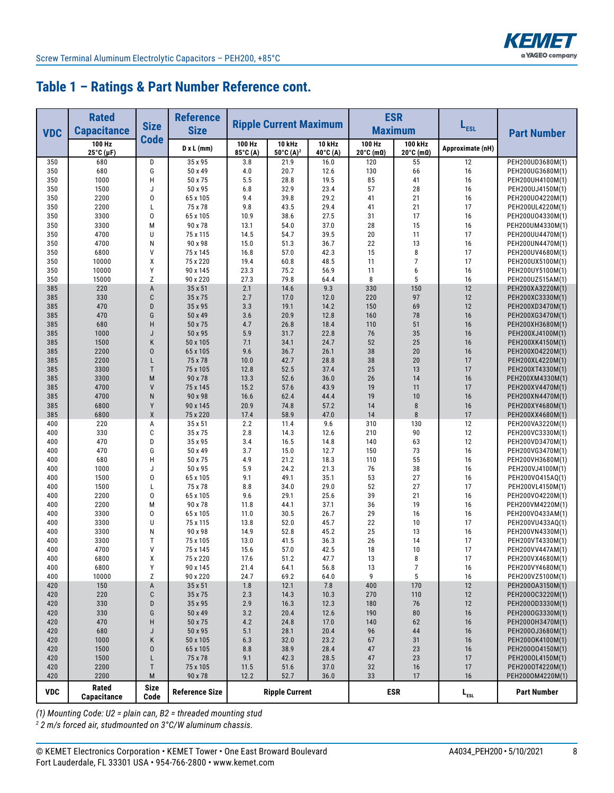

# **Table 1 – Ratings & Part Number Reference cont.**

|            | <b>Rated</b>         |                     | <b>Reference</b>      |                    |                               |                           | <b>ESR</b>                             |                                         |                  |                                      |  |
|------------|----------------------|---------------------|-----------------------|--------------------|-------------------------------|---------------------------|----------------------------------------|-----------------------------------------|------------------|--------------------------------------|--|
| <b>VDC</b> | <b>Capacitance</b>   | <b>Size</b>         | <b>Size</b>           |                    | <b>Ripple Current Maximum</b> |                           | <b>Maximum</b>                         |                                         | L <sub>ESL</sub> | <b>Part Number</b>                   |  |
|            | 100 Hz<br>25°C (µF)  | <b>Code</b>         | D x L (mm)            | 100 Hz<br>85°C (A) | 10 kHz<br>50°C $(A)^2$        | <b>10 kHz</b><br>40°C (A) | 100 Hz<br>$20^{\circ}$ C (m $\Omega$ ) | 100 kHz<br>$20^{\circ}$ C (m $\Omega$ ) | Approximate (nH) |                                      |  |
| 350        | 680                  | D                   | 35 x 95               | 3.8                | 21.9                          | 16.0                      | 120                                    | 55                                      | 12               | PEH200UD3680M(1)                     |  |
| 350        | 680                  | G                   | 50 x 49               | 4.0                | 20.7                          | 12.6                      | 130                                    | 66                                      | 16               | PEH200UG3680M(1)                     |  |
| 350        | 1000<br>1500         | H<br>J              | 50 x 75<br>50 x 95    | 5.5                | 28.8<br>32.9                  | 19.5<br>23.4              | 85<br>57                               | 41<br>28                                | 16<br>16         | PEH200UH4100M(1)                     |  |
| 350<br>350 | 2200                 | 0                   | 65 x 105              | 6.8<br>9.4         | 39.8                          | 29.2                      | 41                                     | 21                                      | 16               | PEH200UJ4150M(1)<br>PEH200U04220M(1) |  |
| 350        | 2200                 | L                   | 75 x 78               | 9.8                | 43.5                          | 29.4                      | 41                                     | 21                                      | 17               | PEH200UL4220M(1)                     |  |
| 350        | 3300                 | 0                   | 65 x 105              | 10.9               | 38.6                          | 27.5                      | 31                                     | 17                                      | 16               | PEH200U04330M(1)                     |  |
| 350        | 3300                 | M                   | 90 x 78               | 13.1               | 54.0                          | 37.0                      | 28                                     | 15                                      | 16               | PEH200UM4330M(1)                     |  |
| 350        | 4700                 | U                   | 75 x 115              | 14.5               | 54.7                          | 39.5                      | 20                                     | 11                                      | 17               | PEH200UU4470M(1)                     |  |
| 350        | 4700                 | N                   | 90 x 98               | 15.0               | 51.3                          | 36.7                      | 22                                     | 13                                      | 16               | PEH200UN4470M(1)                     |  |
| 350        | 6800                 | ٧                   | 75 x 145              | 16.8               | 57.0                          | 42.3                      | 15                                     | 8                                       | 17               | PEH200UV4680M(1)                     |  |
| 350        | 10000                | χ                   | 75 x 220              | 19.4               | 60.8                          | 48.5                      | 11                                     | $\overline{7}$                          | 17               | PEH200UX5100M(1)                     |  |
| 350        | 10000                | Υ                   | 90 x 145              | 23.3               | 75.2                          | 56.9                      | 11                                     | 6<br>5                                  | 16               | PEH200UY5100M(1)                     |  |
| 350<br>385 | 15000<br>220         | Z<br>A              | 90 x 220<br>35 x 51   | 27.3<br>2.1        | 79.8<br>14.6                  | 64.4<br>9.3               | 8<br>330                               | 150                                     | 16<br>12         | PEH200UZ515AM(1)<br>PEH200XA3220M(1) |  |
| 385        | 330                  | C                   | 35 x 75               | 2.7                | 17.0                          | 12.0                      | 220                                    | 97                                      | 12               | PEH200XC3330M(1)                     |  |
| 385        | 470                  | D                   | 35 x 95               | 3.3                | 19.1                          | 14.2                      | 150                                    | 69                                      | 12               | PEH200XD3470M(1)                     |  |
| 385        | 470                  | G                   | 50 x 49               | 3.6                | 20.9                          | 12.8                      | 160                                    | 78                                      | 16               | PEH200XG3470M(1)                     |  |
| 385        | 680                  | H                   | 50 x 75               | 4.7                | 26.8                          | 18.4                      | 110                                    | 51                                      | 16               | PEH200XH3680M(1)                     |  |
| 385        | 1000                 | J                   | 50 x 95               | 5.9                | 31.7                          | 22.8                      | 76                                     | 35                                      | 16               | PEH200XJ4100M(1)                     |  |
| 385        | 1500                 | K                   | 50 x 105              | 7.1                | 34.1                          | 24.7                      | 52                                     | 25                                      | 16               | PEH200XK4150M(1)                     |  |
| 385        | 2200                 | $\overline{0}$      | 65 x 105              | 9.6                | 36.7                          | 26.1                      | 38                                     | 20                                      | 16               | PEH200X04220M(1)                     |  |
| 385        | 2200                 | L                   | 75 x 78               | 10.0               | 42.7                          | 28.8                      | 38                                     | 20                                      | 17               | PEH200XL4220M(1)                     |  |
| 385        | 3300                 | T                   | 75 x 105              | 12.8               | 52.5                          | 37.4                      | 25                                     | 13                                      | 17               | PEH200XT4330M(1)                     |  |
| 385<br>385 | 3300<br>4700         | M<br>V              | 90 x 78<br>75 x 145   | 13.3<br>15.2       | 52.6<br>57.6                  | 36.0<br>43.9              | 26<br>19                               | 14<br>11                                | 16<br>17         | PEH200XM4330M(1)<br>PEH200XV4470M(1) |  |
| 385        | 4700                 | N                   | 90 x 98               | 16.6               | 62.4                          | 44.4                      | 19                                     | 10                                      | 16               | PEH200XN4470M(1)                     |  |
| 385        | 6800                 | Y                   | 90 x 145              | 20.9               | 74.8                          | 57.2                      | 14                                     | $\bf 8$                                 | 16               | PEH200XY4680M(1)                     |  |
| 385        | 6800                 | X                   | 75 x 220              | 17.4               | 58.9                          | 47.0                      | 14                                     | 8                                       | 17               | PEH200XX4680M(1)                     |  |
| 400        | 220                  | Α                   | 35 x 51               | 2.2                | 11.4                          | 9.6                       | 310                                    | 130                                     | 12               | PEH200VA3220M(1)                     |  |
| 400        | 330                  | C                   | 35 x 75               | 2.8                | 14.3                          | 12.6                      | 210                                    | 90                                      | 12               | PEH200VC3330M(1)                     |  |
| 400        | 470                  | D                   | 35 x 95               | 3.4                | 16.5                          | 14.8                      | 140                                    | 63                                      | 12               | PEH200VD3470M(1)                     |  |
| 400        | 470                  | G                   | 50 x 49               | 3.7                | 15.0                          | 12.7                      | 150                                    | 73                                      | 16               | PEH200VG3470M(1)                     |  |
| 400        | 680                  | Η                   | 50 x 75               | 4.9                | 21.2                          | 18.3                      | 110                                    | 55                                      | 16               | PEH200VH3680M(1)                     |  |
| 400        | 1000<br>1500         | J<br>0              | 50 x 95<br>65 x 105   | 5.9<br>9.1         | 24.2<br>49.1                  | 21.3<br>35.1              | 76<br>53                               | 38<br>27                                | 16               | PEH200VJ4100M(1)                     |  |
| 400<br>400 | 1500                 | L                   | 75 x 78               | 8.8                | 34.0                          | 29.0                      | 52                                     | 27                                      | 16<br>17         | PEH200V0415AQ(1)<br>PEH200VL4150M(1) |  |
| 400        | 2200                 | 0                   | 65 x 105              | 9.6                | 29.1                          | 25.6                      | 39                                     | 21                                      | 16               | PEH200VO4220M(1)                     |  |
| 400        | 2200                 | M                   | 90 x 78               | 11.8               | 44.1                          | 37.1                      | 36                                     | 19                                      | 16               | PEH200VM4220M(1)                     |  |
| 400        | 3300                 | 0                   | 65 x 105              | 11.0               | 30.5                          | 26.7                      | 29                                     | 16                                      | 16               | PEH200V0433AM(1)                     |  |
| 400        | 3300                 | U                   | 75 x 115              | 13.8               | 52.0                          | 45.7                      | 22                                     | 10                                      | 17               | PEH200VU433AQ(1)                     |  |
| 400        | 3300                 | N                   | 90 x 98               | 14.9               | 52.8                          | 45.2                      | 25                                     | 13                                      | 16               | PEH200VN4330M(1)                     |  |
| 400        | 3300                 | T                   | 75 x 105              | 13.0               | 41.5                          | 36.3                      | 26                                     | 14                                      | 17               | PEH200VT4330M(1)                     |  |
| 400        | 4700                 | V                   | 75 x 145              | 15.6               | 57.0                          | 42.5                      | 18                                     | 10                                      | 17               | PEH200VV447AM(1)                     |  |
| 400        | 6800                 | х                   | 75 x 220              | 1/6                | 51.2                          | 41.1                      | 13                                     | 8                                       | $\frac{1}{2}$    | PEH200VX4680M(1)                     |  |
| 400<br>400 | 6800<br>10000        | Υ<br>Ζ              | 90 x 145<br>90 x 220  | 21.4<br>24.7       | 64.1<br>69.2                  | 56.8<br>64.0              | 13<br>9                                | 7<br>5                                  | 16<br>16         | PEH200VY4680M(1)<br>PEH200VZ5100M(1) |  |
| 420        | 150                  | A                   | 35 x 51               | 1.8                | 12.1                          | 7.8                       | 400                                    | 170                                     | 12               | PEH2000A3150M(1)                     |  |
| 420        | 220                  | C                   | 35 x 75               | 2.3                | 14.3                          | 10.3                      | 270                                    | 110                                     | 12               | PEH2000C3220M(1)                     |  |
| 420        | 330                  | D                   | 35 x 95               | 2.9                | 16.3                          | 12.3                      | 180                                    | 76                                      | 12               | PEH2000D3330M(1)                     |  |
| 420        | 330                  | G                   | 50 x 49               | $3.2\,$            | 20.4                          | 12.6                      | 190                                    | 80                                      | 16               | PEH2000G3330M(1)                     |  |
| 420        | 470                  | Н                   | 50 x 75               | 4.2                | 24.8                          | 17.0                      | 140                                    | 62                                      | 16               | PEH2000H3470M(1)                     |  |
| 420        | 680                  | J                   | 50 x 95               | 5.1                | 28.1                          | 20.4                      | 96                                     | 44                                      | 16               | PEH2000J3680M(1)                     |  |
| 420        | 1000                 | K                   | 50 x 105              | 6.3                | 32.0                          | 23.2                      | 67                                     | 31                                      | 16               | PEH2000K4100M(1)                     |  |
| 420        | 1500                 | 0                   | 65 x 105              | 8.8                | 38.9                          | 28.4                      | 47                                     | 23                                      | 16               | PEH200004150M(1)                     |  |
| 420        | 1500                 | L                   | 75 x 78               | 9.1                | 42.3                          | 28.5                      | 47                                     | 23                                      | 17               | PEH2000L4150M(1)                     |  |
| 420<br>420 | 2200<br>2200         | Τ<br>M              | 75 x 105<br>90 x 78   | 11.5<br>12.2       | 51.6<br>52.7                  | 37.0<br>36.0              | 32<br>33                               | 16<br>17                                | 17<br>16         | PEH2000T4220M(1)<br>PEH2000M4220M(1) |  |
|            |                      |                     |                       |                    |                               |                           |                                        |                                         |                  |                                      |  |
| <b>VDC</b> | Rated<br>Capacitance | <b>Size</b><br>Code | <b>Reference Size</b> |                    | <b>Ripple Current</b>         |                           |                                        | <b>ESR</b>                              | $L_{est}$        | <b>Part Number</b>                   |  |

*(1) Mounting Code: U2 = plain can, B2 = threaded mounting stud*

 *2 m/s forced air, studmounted on 3°C/W aluminum chassis.*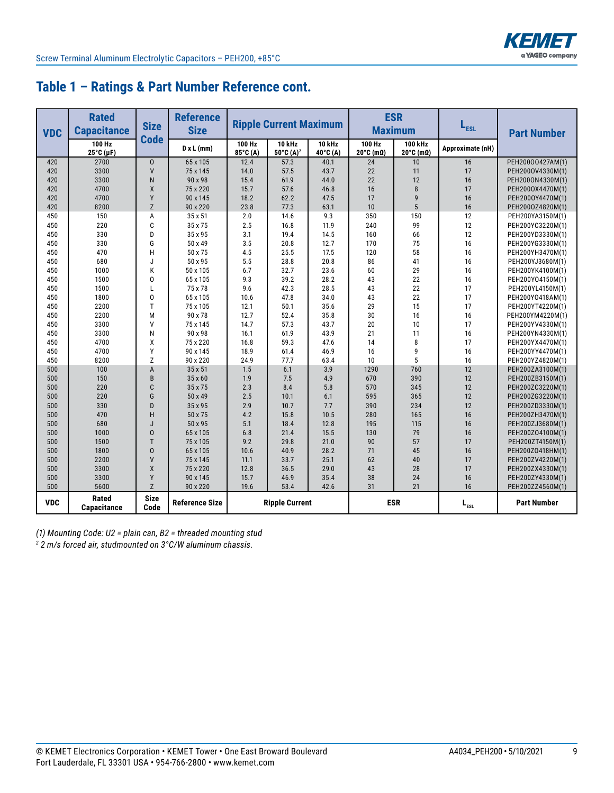

# **Table 1 – Ratings & Part Number Reference cont.**

| <b>VDC</b> | <b>Rated</b><br><b>Capacitance</b> | <b>Size</b><br><b>Code</b> | <b>Reference</b><br><b>Size</b> | <b>ESR</b><br><b>Ripple Current Maximum</b><br>L <sub>ESL</sub><br><b>Maximum</b> |                                             |                      |                     |                                                | <b>Part Number</b> |                    |
|------------|------------------------------------|----------------------------|---------------------------------|-----------------------------------------------------------------------------------|---------------------------------------------|----------------------|---------------------|------------------------------------------------|--------------------|--------------------|
|            | 100 Hz<br>25°C (µF)                |                            | D x L (mm)                      | 100 Hz<br>85°C (A)                                                                | $10$ kHz<br>$50^{\circ}$ C (A) <sup>2</sup> | $10$ kHz<br>40°C (A) | 100 Hz<br>20°C (mΩ) | <b>100 kHz</b><br>$20^{\circ}$ C (m $\Omega$ ) | Approximate (nH)   |                    |
| 420        | 2700                               | $\mathbf{0}$               | 65 x 105                        | 12.4                                                                              | 57.3                                        | 40.1                 | 24                  | 10                                             | 16                 | PEH20000427AM(1)   |
| 420        | 3300                               | $\mathsf{V}$               | 75 x 145                        | 14.0                                                                              | 57.5                                        | 43.7                 | 22                  | 11                                             | 17                 | PEH2000V4330M(1)   |
| 420        | 3300                               | N                          | 90 x 98                         | 15.4                                                                              | 61.9                                        | 44.0                 | 22                  | 12                                             | 16                 | PEH2000N4330M(1)   |
| 420        | 4700                               | X                          | 75 x 220                        | 15.7                                                                              | 57.6                                        | 46.8                 | 16                  | 8                                              | 17                 | PEH2000X4470M(1)   |
| 420        | 4700                               | Y                          | 90 x 145                        | 18.2                                                                              | 62.2                                        | 47.5                 | 17                  | 9                                              | 16                 | PEH2000Y4470M(1)   |
| 420        | 8200                               | Z                          | 90 x 220                        | 23.8                                                                              | 77.3                                        | 63.1                 | 10                  | $5\overline{)}$                                | 16                 | PEH2000Z4820M(1)   |
| 450        | 150                                | A                          | 35 x 51                         | 2.0                                                                               | 14.6                                        | 9.3                  | 350                 | 150                                            | 12                 | PEH200YA3150M(1)   |
| 450        | 220                                | C                          | 35 x 75                         | 2.5                                                                               | 16.8                                        | 11.9                 | 240                 | 99                                             | 12                 | PEH200YC3220M(1)   |
| 450        | 330                                | D                          | 35 x 95                         | 3.1                                                                               | 19.4                                        | 14.5                 | 160                 | 66                                             | 12                 | PEH200YD3330M(1)   |
| 450        | 330                                | G                          | 50 x 49                         | 3.5                                                                               | 20.8                                        | 12.7                 | 170                 | 75                                             | 16                 | PEH200YG3330M(1)   |
| 450        | 470                                | H                          | 50 x 75                         | 4.5                                                                               | 25.5                                        | 17.5                 | 120                 | 58                                             | 16                 | PEH200YH3470M(1)   |
| 450        | 680                                | J                          | 50 x 95                         | 5.5                                                                               | 28.8                                        | 20.8                 | 86                  | 41                                             | 16                 | PEH200YJ3680M(1)   |
| 450        | 1000                               | K                          | 50 x 105                        | 6.7                                                                               | 32.7                                        | 23.6                 | 60                  | 29                                             | 16                 | PEH200YK4100M(1)   |
| 450        | 1500                               | $\overline{0}$             | 65 x 105                        | 9.3                                                                               | 39.2                                        | 28.2                 | 43                  | 22                                             | 16                 | PEH200Y04150M(1)   |
| 450        | 1500                               | L                          | 75 x 78                         | 9.6                                                                               | 42.3                                        | 28.5                 | 43                  | 22                                             | 17                 | PEH200YL4150M(1)   |
| 450        | 1800                               | 0                          | 65 x 105                        | 10.6                                                                              | 47.8                                        | 34.0                 | 43                  | 22                                             | 17                 | PEH200Y0418AM(1)   |
| 450        | 2200                               | T                          | 75 x 105                        | 12.1                                                                              | 50.1                                        | 35.6                 | 29                  | 15                                             | 17                 | PEH200YT4220M(1)   |
| 450        | 2200                               | M                          | 90 x 78                         | 12.7                                                                              | 52.4                                        | 35.8                 | 30                  | 16                                             | 16                 | PEH200YM4220M(1)   |
| 450        | 3300                               | V                          | 75 x 145                        | 14.7                                                                              | 57.3                                        | 43.7                 | 20                  | 10                                             | 17                 | PEH200YV4330M(1)   |
| 450        | 3300                               | N                          | 90 x 98                         | 16.1                                                                              | 61.9                                        | 43.9                 | 21                  | 11                                             | 16                 | PEH200YN4330M(1)   |
| 450        | 4700                               | χ                          | 75 x 220                        | 16.8                                                                              | 59.3                                        | 47.6                 | 14                  | 8                                              | 17                 | PEH200YX4470M(1)   |
| 450        | 4700                               | Y                          | 90 x 145                        | 18.9                                                                              | 61.4                                        | 46.9                 | 16                  | 9                                              | 16                 | PEH200YY4470M(1)   |
| 450        | 8200                               | Z                          | 90 x 220                        | 24.9                                                                              | 77.7                                        | 63.4                 | 10                  | 5                                              | 16                 | PEH200YZ4820M(1)   |
| 500        | 100                                | $\overline{A}$             | 35 x 51                         | 1.5                                                                               | 6.1                                         | 3.9                  | 1290                | 760                                            | 12                 | PEH200ZA3100M(1)   |
| 500        | 150                                | B                          | 35 x 60                         | 1.9                                                                               | 7.5                                         | 4.9                  | 670                 | 390                                            | 12                 | PEH200ZB3150M(1)   |
| 500        | 220                                | C                          | 35 x 75                         | 2.3                                                                               | 8.4                                         | 5.8                  | 570                 | 345                                            | 12                 | PEH200ZC3220M(1)   |
| 500        | 220                                | G                          | 50 x 49                         | 2.5                                                                               | 10.1                                        | 6.1                  | 595                 | 365                                            | 12                 | PEH200ZG3220M(1)   |
| 500        | 330                                | D                          | 35 x 95                         | 2.9                                                                               | 10.7                                        | 7.7                  | 390                 | 234                                            | 12                 | PEH200ZD3330M(1)   |
| 500        | 470                                | H                          | 50 x 75                         | 4.2                                                                               | 15.8                                        | 10.5                 | 280                 | 165                                            | 16                 | PEH200ZH3470M(1)   |
| 500        | 680                                | J                          | 50 x 95                         | 5.1                                                                               | 18.4                                        | 12.8                 | 195                 | 115                                            | 16                 | PEH200ZJ3680M(1)   |
| 500        | 1000                               | $\mathbf 0$                | 65 x 105                        | 6.8                                                                               | 21.4                                        | 15.5                 | 130                 | 79                                             | 16                 | PEH200Z04100M(1)   |
| 500        | 1500                               | T                          | 75 x 105                        | 9.2                                                                               | 29.8                                        | 21.0                 | 90                  | 57                                             | 17                 | PEH200ZT4150M(1)   |
| 500        | 1800                               | $\mathbf 0$                | 65 x 105                        | 10.6                                                                              | 40.9                                        | 28.2                 | 71                  | 45                                             | 16                 | PEH200Z0418HM(1)   |
| 500        | 2200                               | $\mathsf{V}$               | 75 x 145                        | 11.1                                                                              | 33.7                                        | 25.1                 | 62                  | 40                                             | 17                 | PEH200ZV4220M(1)   |
| 500        | 3300                               | X                          | 75 x 220                        | 12.8                                                                              | 36.5                                        | 29.0                 | 43                  | 28                                             | 17                 | PEH200ZX4330M(1)   |
| 500        | 3300                               | Y                          | 90 x 145                        | 15.7                                                                              | 46.9                                        | 35.4                 | 38                  | 24                                             | 16                 | PEH200ZY4330M(1)   |
| 500        | 5600                               | Z                          | 90 x 220                        | 19.6                                                                              | 53.4                                        | 42.6                 | 31                  | 21                                             | 16                 | PEH200ZZ4560M(1)   |
| <b>VDC</b> | Rated<br>Capacitance               | <b>Size</b><br>Code        | <b>Reference Size</b>           |                                                                                   | <b>Ripple Current</b>                       |                      | <b>ESR</b>          |                                                | $L_{\text{est}}$   | <b>Part Number</b> |

*(1) Mounting Code: U2 = plain can, B2 = threaded mounting stud*

*2 2 m/s forced air, studmounted on 3°C/W aluminum chassis.*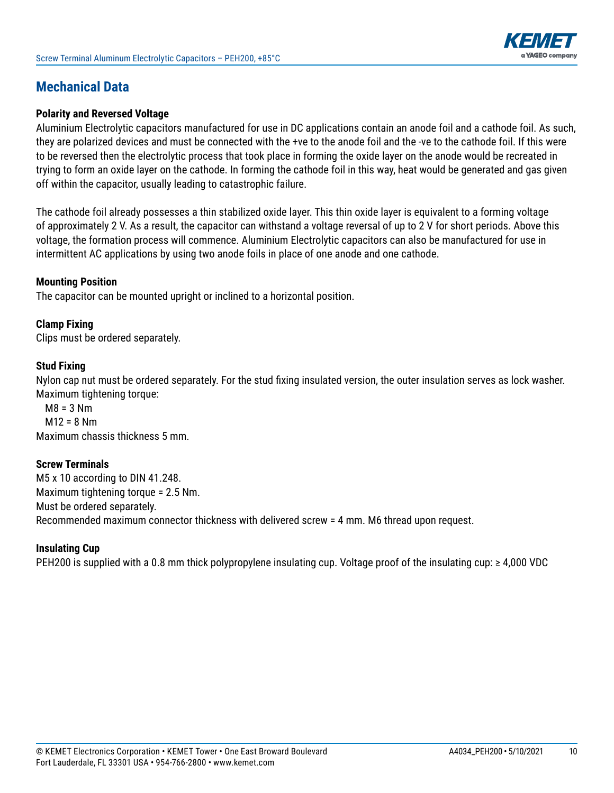

# **Mechanical Data**

#### **Polarity and Reversed Voltage**

Aluminium Electrolytic capacitors manufactured for use in DC applications contain an anode foil and a cathode foil. As such, they are polarized devices and must be connected with the +ve to the anode foil and the -ve to the cathode foil. If this were to be reversed then the electrolytic process that took place in forming the oxide layer on the anode would be recreated in trying to form an oxide layer on the cathode. In forming the cathode foil in this way, heat would be generated and gas given off within the capacitor, usually leading to catastrophic failure.

The cathode foil already possesses a thin stabilized oxide layer. This thin oxide layer is equivalent to a forming voltage of approximately 2 V. As a result, the capacitor can withstand a voltage reversal of up to 2 V for short periods. Above this voltage, the formation process will commence. Aluminium Electrolytic capacitors can also be manufactured for use in intermittent AC applications by using two anode foils in place of one anode and one cathode.

#### **Mounting Position**

The capacitor can be mounted upright or inclined to a horizontal position.

#### **Clamp Fixing**

Clips must be ordered separately.

#### **Stud Fixing**

Nylon cap nut must be ordered separately. For the stud fixing insulated version, the outer insulation serves as lock washer. Maximum tightening torque:

 $M8 = 3 Nm$  $M12 = 8 Nm$ Maximum chassis thickness 5 mm.

#### **Screw Terminals**

M5 x 10 according to DIN 41.248. Maximum tightening torque = 2.5 Nm. Must be ordered separately. Recommended maximum connector thickness with delivered screw = 4 mm. M6 thread upon request.

#### **Insulating Cup**

PEH200 is supplied with a 0.8 mm thick polypropylene insulating cup. Voltage proof of the insulating cup: ≥ 4,000 VDC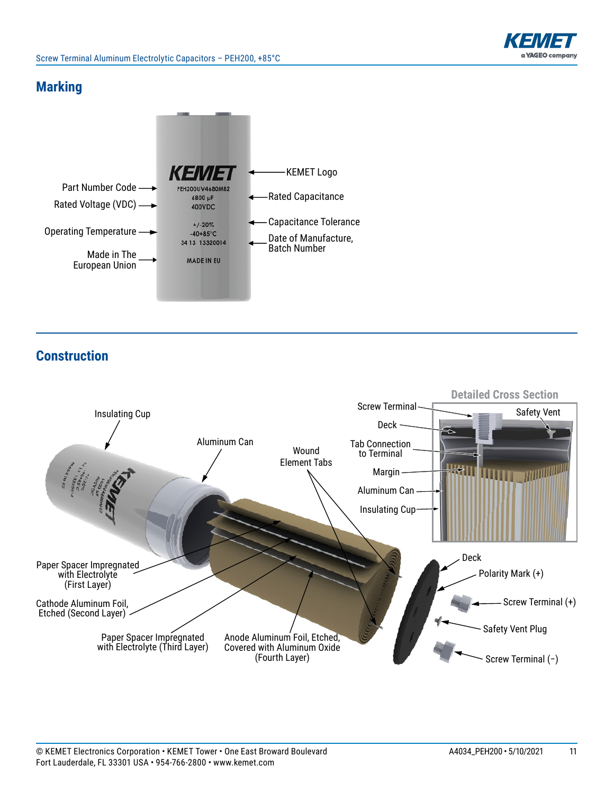

### **Marking**



**Construction**

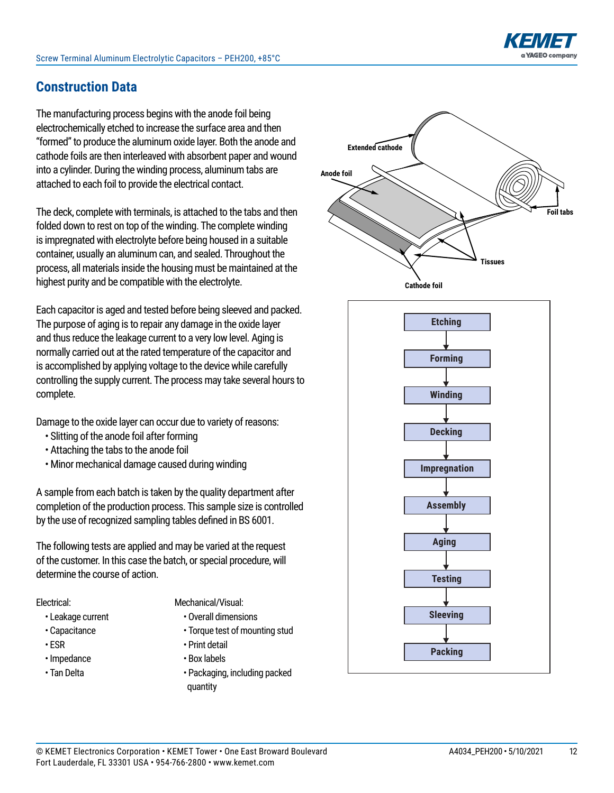# **Construction Data**

The manufacturing process begins with the anode foil being electrochemically etched to increase the surface area and then "formed" to produce the aluminum oxide layer. Both the anode and cathode foils are then interleaved with absorbent paper and wound into a cylinder. During the winding process, aluminum tabs are attached to each foil to provide the electrical contact.

The deck, complete with terminals, is attached to the tabs and then folded down to rest on top of the winding. The complete winding is impregnated with electrolyte before being housed in a suitable container, usually an aluminum can, and sealed. Throughout the process, all materials inside the housing must be maintained at the highest purity and be compatible with the electrolyte.

Each capacitor is aged and tested before being sleeved and packed. The purpose of aging is to repair any damage in the oxide layer and thus reduce the leakage current to a very low level. Aging is normally carried out at the rated temperature of the capacitor and is accomplished by applying voltage to the device while carefully controlling the supply current. The process may take several hours to complete.

Damage to the oxide layer can occur due to variety of reasons:

- Slitting of the anode foil after forming
- Attaching the tabs to the anode foil
- Minor mechanical damage caused during winding

A sample from each batch is taken by the quality department after completion of the production process. This sample size is controlled by the use of recognized sampling tables defined in BS 6001.

The following tests are applied and may be varied at the request of the customer. In this case the batch, or special procedure, will determine the course of action.

#### Electrical:

- Leakage current
- Capacitance
- ESR
- Impedance
- Tan Delta
- Mechanical/Visual:
	- Overall dimensions
	- Torque test of mounting stud
	- Print detail
	- Box labels
	- Packaging, including packed quantity